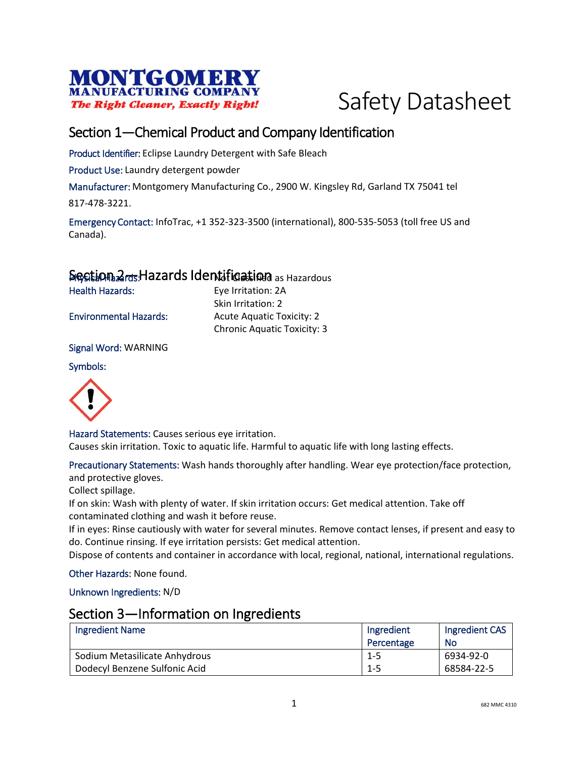



### Section 1—Chemical Product and Company Identification

Product Identifier: Eclipse Laundry Detergent with Safe Bleach

Product Use: Laundry detergent powder

Manufacturer: Montgomery Manufacturing Co., 2900 W. Kingsley Rd, Garland TX 75041 tel

817-478-3221.

Emergency Contact: InfoTrac, +1 352-323-3500 (international), 800-535-5053 (toll free US and Canada).

#### Section 2<sub>rds</sub> Hazards Identification as Hazardous

Health Hazards: Eye Irritation: 2A

Skin Irritation: 2 Environmental Hazards: Acute Aquatic Toxicity: 2 Chronic Aquatic Toxicity: 3

Signal Word: WARNING

#### Symbols:



Hazard Statements: Causes serious eye irritation. Causes skin irritation. Toxic to aquatic life. Harmful to aquatic life with long lasting effects.

Precautionary Statements: Wash hands thoroughly after handling. Wear eye protection/face protection, and protective gloves.

Collect spillage.

If on skin: Wash with plenty of water. If skin irritation occurs: Get medical attention. Take off contaminated clothing and wash it before reuse.

If in eyes: Rinse cautiously with water for several minutes. Remove contact lenses, if present and easy to do. Continue rinsing. If eye irritation persists: Get medical attention.

Dispose of contents and container in accordance with local, regional, national, international regulations.

Other Hazards: None found.

Unknown Ingredients: N/D

#### Section 3—Information on Ingredients

| <b>Ingredient Name</b>        | Ingredient | Ingredient CAS |
|-------------------------------|------------|----------------|
|                               | Percentage | No             |
| Sodium Metasilicate Anhydrous | -1-5       | 6934-92-0      |
| Dodecyl Benzene Sulfonic Acid | $1 - 5$    | 68584-22-5     |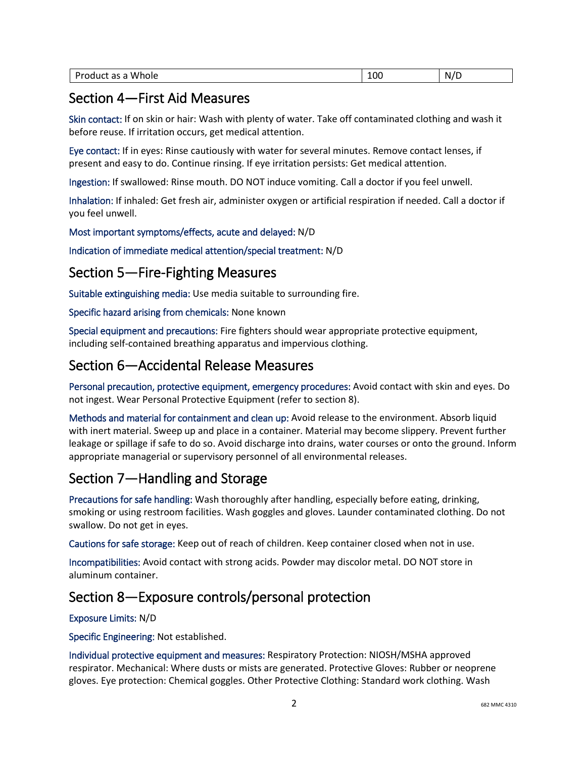|  | Whole<br>-<br>Product<br>$\sim$<br>יש<br>as a | 100 | - 1 -<br>N,<br>- |
|--|-----------------------------------------------|-----|------------------|
|--|-----------------------------------------------|-----|------------------|

#### Section 4—First Aid Measures

Skin contact: If on skin or hair: Wash with plenty of water. Take off contaminated clothing and wash it before reuse. If irritation occurs, get medical attention.

Eye contact: If in eyes: Rinse cautiously with water for several minutes. Remove contact lenses, if present and easy to do. Continue rinsing. If eye irritation persists: Get medical attention.

Ingestion: If swallowed: Rinse mouth. DO NOT induce vomiting. Call a doctor if you feel unwell.

Inhalation: If inhaled: Get fresh air, administer oxygen or artificial respiration if needed. Call a doctor if you feel unwell.

Most important symptoms/effects, acute and delayed: N/D

Indication of immediate medical attention/special treatment: N/D

### Section 5—Fire-Fighting Measures

Suitable extinguishing media: Use media suitable to surrounding fire.

Specific hazard arising from chemicals: None known

Special equipment and precautions: Fire fighters should wear appropriate protective equipment, including self-contained breathing apparatus and impervious clothing.

### Section 6—Accidental Release Measures

Personal precaution, protective equipment, emergency procedures: Avoid contact with skin and eyes. Do not ingest. Wear Personal Protective Equipment (refer to section 8).

Methods and material for containment and clean up: Avoid release to the environment. Absorb liquid with inert material. Sweep up and place in a container. Material may become slippery. Prevent further leakage or spillage if safe to do so. Avoid discharge into drains, water courses or onto the ground. Inform appropriate managerial or supervisory personnel of all environmental releases.

# Section 7—Handling and Storage

Precautions for safe handling: Wash thoroughly after handling, especially before eating, drinking, smoking or using restroom facilities. Wash goggles and gloves. Launder contaminated clothing. Do not swallow. Do not get in eyes.

Cautions for safe storage: Keep out of reach of children. Keep container closed when not in use.

Incompatibilities: Avoid contact with strong acids. Powder may discolor metal. DO NOT store in aluminum container.

## Section 8—Exposure controls/personal protection

#### Exposure Limits: N/D

Specific Engineering: Not established.

Individual protective equipment and measures: Respiratory Protection: NIOSH/MSHA approved respirator. Mechanical: Where dusts or mists are generated. Protective Gloves: Rubber or neoprene gloves. Eye protection: Chemical goggles. Other Protective Clothing: Standard work clothing. Wash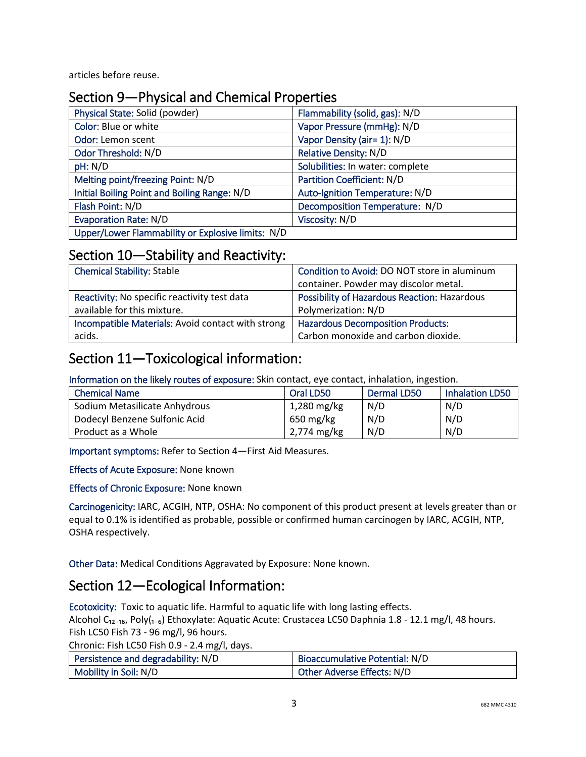articles before reuse.

### Section 9—Physical and Chemical Properties

| Physical State: Solid (powder)                    | Flammability (solid, gas): N/D    |
|---------------------------------------------------|-----------------------------------|
| Color: Blue or white                              | Vapor Pressure (mmHg): N/D        |
| Odor: Lemon scent                                 | Vapor Density (air= 1): N/D       |
| Odor Threshold: N/D                               | <b>Relative Density: N/D</b>      |
| pH: N/D                                           | Solubilities: In water: complete  |
| Melting point/freezing Point: N/D                 | <b>Partition Coefficient: N/D</b> |
| Initial Boiling Point and Boiling Range: N/D      | Auto-Ignition Temperature: N/D    |
| Flash Point: N/D                                  | Decomposition Temperature: N/D    |
| <b>Evaporation Rate: N/D</b>                      | Viscosity: N/D                    |
| Upper/Lower Flammability or Explosive limits: N/D |                                   |

#### Section 10—Stability and Reactivity:

| <b>Chemical Stability: Stable</b>                 | Condition to Avoid: DO NOT store in aluminum |
|---------------------------------------------------|----------------------------------------------|
|                                                   | container. Powder may discolor metal.        |
| Reactivity: No specific reactivity test data      | Possibility of Hazardous Reaction: Hazardous |
| available for this mixture.                       | Polymerization: N/D                          |
| Incompatible Materials: Avoid contact with strong | <b>Hazardous Decomposition Products:</b>     |
| acids.                                            | Carbon monoxide and carbon dioxide.          |

### Section 11—Toxicological information:

Information on the likely routes of exposure: Skin contact, eye contact, inhalation, ingestion.

| <b>Chemical Name</b>          | Oral LD50     | <b>Dermal LD50</b> | <b>Inhalation LD50</b> |
|-------------------------------|---------------|--------------------|------------------------|
| Sodium Metasilicate Anhydrous | $1,280$ mg/kg | N/D                | N/D                    |
| Dodecyl Benzene Sulfonic Acid | 650 mg/kg     | N/D                | N/D                    |
| Product as a Whole            | 2,774 mg/kg   | N/D                | N/D                    |

Important symptoms: Refer to Section 4—First Aid Measures.

Effects of Acute Exposure: None known

Effects of Chronic Exposure: None known

Carcinogenicity: IARC, ACGIH, NTP, OSHA: No component of this product present at levels greater than or equal to 0.1% is identified as probable, possible or confirmed human carcinogen by IARC, ACGIH, NTP, OSHA respectively.

Other Data: Medical Conditions Aggravated by Exposure: None known.

## Section 12—Ecological Information:

Ecotoxicity: Toxic to aquatic life. Harmful to aquatic life with long lasting effects.

Alcohol C<sub>12-16</sub>, Poly(<sub>1-6</sub>) Ethoxylate: Aquatic Acute: Crustacea LC50 Daphnia 1.8 - 12.1 mg/l, 48 hours. Fish LC50 Fish 73 - 96 mg/l, 96 hours.

Chronic: Fish LC50 Fish 0.9 - 2.4 mg/l, days.

| Persistence and degradability: N/D | Bioaccumulative Potential: N/D |
|------------------------------------|--------------------------------|
| Mobility in Soil: N/D              | Other Adverse Effects: N/D     |